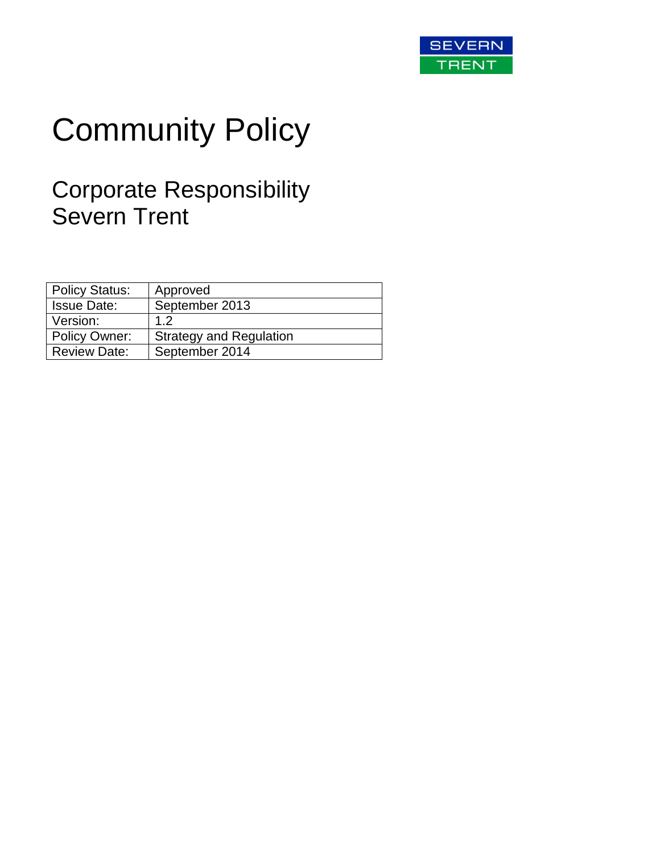

# Community Policy

# Corporate Responsibility Severn Trent

| <b>Policy Status:</b> | Approved                       |
|-----------------------|--------------------------------|
| <b>Issue Date:</b>    | September 2013                 |
| Version:              | 12                             |
| Policy Owner:         | <b>Strategy and Regulation</b> |
| <b>Review Date:</b>   | September 2014                 |
|                       |                                |